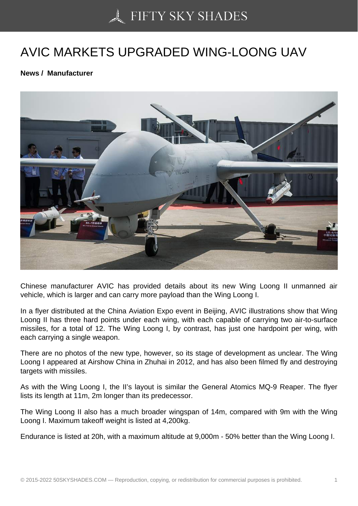## [AVIC MARKETS UPGR](https://50skyshades.com)ADED WING-LOONG UAV

News / Manufacturer

Chinese manufacturer AVIC has provided details about its new Wing Loong II unmanned air vehicle, which is larger and can carry more payload than the Wing Loong I.

In a flyer distributed at the China Aviation Expo event in Beijing, AVIC illustrations show that Wing Loong II has three hard points under each wing, with each capable of carrying two air-to-surface missiles, for a total of 12. The Wing Loong I, by contrast, has just one hardpoint per wing, with each carrying a single weapon.

There are no photos of the new type, however, so its stage of development as unclear. The Wing Loong I appeared at Airshow China in Zhuhai in 2012, and has also been filmed fly and destroying targets with missiles.

As with the Wing Loong I, the II's layout is similar the General Atomics MQ-9 Reaper. The flyer lists its length at 11m, 2m longer than its predecessor.

The Wing Loong II also has a much broader wingspan of 14m, compared with 9m with the Wing Loong I. Maximum takeoff weight is listed at 4,200kg.

Endurance is listed at 20h, with a maximum altitude at 9,000m - 50% better than the Wing Loong I.